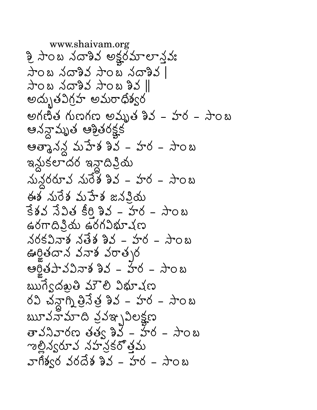www.shaivam.org శ్రీ సాంబ నదాశివ అక్షరమాలాన్తవః సాంబ నదాశివ సాంబ నదాశివ |  $\frac{1}{4}$ ၀ ဃ သိဌာန်သို့ သုဝ ဃ နာသို့  $\parallel$ అద్భుతవిగ్రహ అమరాధిశ్వర అగణిత గుణగణ అమృత శివ - హర - సాంబ ఆనన్గామృత ఆశ్రితరక్షక ఆత్మానన్ల మహేశ శివ – హర – సాంబ ఇన్లుకలాదర ఇన్లాదిప్రియ నున్దరరూవ నురేశ శివ – హర – సాంబ ఈశ నురేశ మహేశ జనవియ  $382330$   $8032 - 50 - 300$  $\epsilon$ రగాదినియ ఉరగవిభూషణ నరకవినాశ నతేశ శివ – హర – సాంబ ఊర్జితదాన వనాశ వరాత్సర ఆర్ట్రిపావవినాశ శివ - హేర - సాంబ ఋగ్వదఖతి మౌలి విభూషణ రవి చన్దాగ్ని త్రివేత్ర శివ – హర – సాంబ ౠవనామాది వ్రవఞ్చవిలక్షణ తావనివారణ తత్వ శివ - హేర - సాంబ ఌల్లిన్వరూవ నహన్లకరోత్తమ వాగిశ్వర వరదేశ శివ - హర - సాంబ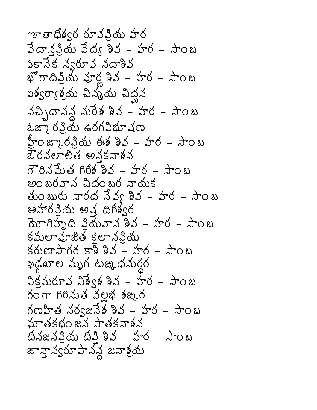ౡతాధిశ్వర రూవవియ హర  $3\sigma$ నవియ వేద్య శివ – హర – సాంబ పకానేక వ్వరూవ నదాశివ భోగాదిన్రియ వూర్ణ శివ - హర - సాంబ ఐశ్వర్యాశ్రయ చిన్మ్ర చిద్ధన నచ్చిదానన్ద నురేశ శివ $-$  హర $-$  సాంబ ఓఙ్కారవ్రియ ఉరగవిభూషణ హ్రీ జ్కారన్లియ ఈశ శివ – హర – సాంబ ఔరనలాలిత అనకనాశన  $78336$  868 23 - 50 - 202 అంబరవాన చిదంబర నాయక తుంబురు నారద సేవ్య శివ – హర – సాంబ ఆహారప్రియ అష్ట దిగిశ్వర యోగిహృది ప్రియవాన శివ - హర - సాంబ కమలా హ్రజిత్ కెలా నవియ ఖడ్గఖాల మృగ టఙ్కిధనుర్ధర  $35.500 - 33.583 - 56 - 308$ గంగా గిరినుత వల్లభ శఙ్కర మాతకభంజన పాతకనాశన దనజనప్రియ దీప్తి శివ – హర – సాంబ జావ్లా న్యయా పాన్న జనాశ్రమ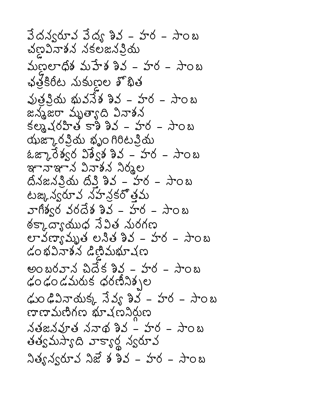$3$ దన్వరూవ వేద్య శివ – హర – సాంబ చల్లవినాశన నకలజనప్రియ  $\omega$  per  $\frac{1}{2}$   $\frac{1}{2}$   $\frac{1}{2}$   $\frac{1}{2}$   $\frac{1}{2}$   $\frac{1}{2}$   $\frac{1}{2}$   $\frac{1}{2}$   $\frac{1}{2}$   $\frac{1}{2}$   $\frac{1}{2}$   $\frac{1}{2}$   $\frac{1}{2}$   $\frac{1}{2}$   $\frac{1}{2}$   $\frac{1}{2}$   $\frac{1}{2}$   $\frac{1}{2}$   $\frac{1}{2}$   $\frac{1}{2}$   $\frac{1}{2}$   $\$ ఛత్రకిరీట నుకుణ్ణల శొభిత వుత్రవ్రియ భువనేశ శివ – హర – సాంబ జన్మజరా మృత్యాది వినాశన  $\frac{1}{2}$   $\frac{1}{2}$   $\frac{1}{2}$   $\frac{1}{2}$   $\frac{1}{2}$   $\frac{1}{2}$   $\frac{1}{2}$   $\frac{1}{2}$   $\frac{1}{2}$   $\frac{1}{2}$   $\frac{1}{2}$   $\frac{1}{2}$   $\frac{1}{2}$   $\frac{1}{2}$   $\frac{1}{2}$   $\frac{1}{2}$   $\frac{1}{2}$   $\frac{1}{2}$   $\frac{1}{2}$   $\frac{1}{2}$   $\frac{1}{2}$   $\frac{1}{2}$  యఙ్కారప్రియ భృం గిరిటప్రియ ఓఙ్కారేశ్వర విశ్వేశ శివ – హర – సాంబ ఞానాఞాన వినాశన నిర్మల  $63x330$   $6332 - 56 - 308$ టఙ, న్వరూవ నహన్లకరోత్తమ వాగిశ్వర వరదేశ శివ - హర - సాంబ ఠక్కాద్యాయుధ సేవిత నురగణ లావణ్యామృత లనిత శివ – హర – సాంబ  $\omega$  สมรับสังค์ พร้องสับสังค అంబరవాన చిదేక శివ - హర - సాంబ ఢం ఢం డమరుక ధరణీనిక్సల డుం ఢివినాయక్క నేవ్వ శివ – హర – సాంబ ပေးပေးပွားပွားကို အသက်ပါ  $\Delta$ తజ $\Delta$ వూత  $\Delta$ నాథ శివ - హర - సాంబ తత్వమస్యాది వాక్యార్థ న్వరూవ నిత్య న్వరూవ నిజే శ శివ – హర – సాంబ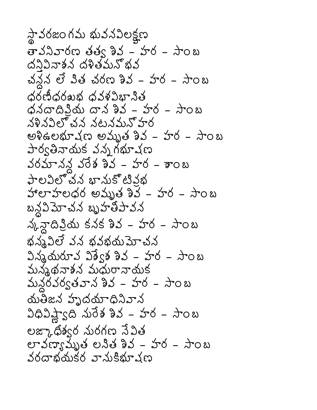స్థావరజం గమ భువనవిలక్షణ తావనివారణ తత్వ శివ – హర – సాంబ ด้วิวิสรัส ด้ริยังมัธิสั చన్న లే విత చరణ శివ – హర – సాంబ  $\phi$ రణిధరఖభ ధవళవిభానిత  $\phi$ నదాదివియ దాన శివ – హర – సాంబ నళినవిలో చన నటనమనో హర అశిఉలభూషణ అమృత శివ – హర – సాంబ పార్వతినాయక వన్న గభూషణ వరమానన్ద వరేశ శివ – హర – శాంబ పాలవిలోచన భామకోటివభ హాలాహలధర అమృత శివ - హర - సాంబ బన్ద పెూచన బృహతీపావన న్కన్టాదిప్రియ కనక శివ – హర – సాంబ భన్నవిలే వన భవభయమోచన  $2\lambda$  మరూవ  $33\lambda$  శివ – హర – సాంబ మన్మథనాశన మధురానాయక మన్దరవర్వతవాన శివ – హర – సాంబ యతీజన హృదయాధినివాన విధివిష్ణాంది నురేశ శివ – హర – సాంబ లఙ్కాధిశ్వర మరగణ సేవిత లావణ్యామృత లనిత శివ – హర – సాంబ వరదాభయకర వానుకిభూచణ